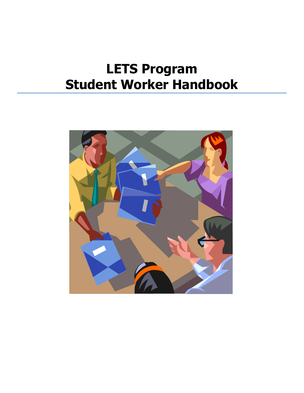# **LETS Program Student Worker Handbook**

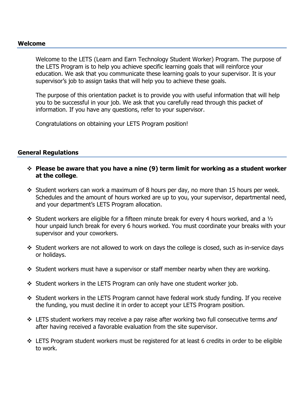#### **Welcome**

Welcome to the LETS (Learn and Earn Technology Student Worker) Program. The purpose of the LETS Program is to help you achieve specific learning goals that will reinforce your education. We ask that you communicate these learning goals to your supervisor. It is your supervisor's job to assign tasks that will help you to achieve these goals.

The purpose of this orientation packet is to provide you with useful information that will help you to be successful in your job. We ask that you carefully read through this packet of information. If you have any questions, refer to your supervisor.

Congratulations on obtaining your LETS Program position!

#### **General Regulations**

- **Please be aware that you have a nine (9) term limit for working as a student worker at the college**.
- $\cdot$  Student workers can work a maximum of 8 hours per day, no more than 15 hours per week. Schedules and the amount of hours worked are up to you, your supervisor, departmental need, and your department's LETS Program allocation.
- $\div$  Student workers are eligible for a fifteen minute break for every 4 hours worked, and a  $\frac{1}{2}$ hour unpaid lunch break for every 6 hours worked. You must coordinate your breaks with your supervisor and your coworkers.
- $\cdot$  Student workers are not allowed to work on days the college is closed, such as in-service days or holidays.
- $\div$  Student workers must have a supervisor or staff member nearby when they are working.
- Student workers in the LETS Program can only have one student worker job.
- Student workers in the LETS Program cannot have federal work study funding. If you receive the funding, you must decline it in order to accept your LETS Program position.
- ❖ LETS student workers may receive a pay raise after working two full consecutive terms *and* after having received a favorable evaluation from the site supervisor.
- $\div$  LETS Program student workers must be registered for at least 6 credits in order to be eligible to work.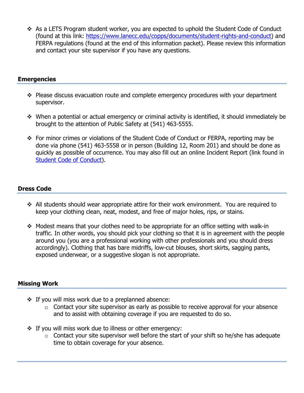As a LETS Program student worker, you are expected to uphold the Student Code of Conduct (found at this link: [https://www.lanecc.edu/copps/documents/student-rights-and-conduct\)](https://www.lanecc.edu/copps/documents/student-rights-and-conduct) and FERPA regulations (found at the end of this information packet). Please review this information and contact your site supervisor if you have any questions.

## **Emergencies**

- \* Please discuss evacuation route and complete emergency procedures with your department supervisor.
- When a potential or actual emergency or criminal activity is identified, it should immediately be brought to the attention of Public Safety at (541) 463-5555.
- \* For minor crimes or violations of the Student Code of Conduct or FERPA, reporting may be done via phone (541) 463-5558 or in person (Building 12, Room 201) and should be done as quickly as possible of occurrence. You may also fill out an online Incident Report (link found in [Student Code of Conduct\)](https://www.lanecc.edu/copps/documents/student-rights-and-conduct).

## **Dress Code**

- All students should wear appropriate attire for their work environment. You are required to keep your clothing clean, neat, modest, and free of major holes, rips, or stains.
- $\div$  Modest means that your clothes need to be appropriate for an office setting with walk-in traffic. In other words, you should pick your clothing so that it is in agreement with the people around you (you are a professional working with other professionals and you should dress accordingly). Clothing that has bare midriffs, low-cut blouses, short skirts, sagging pants, exposed underwear, or a suggestive slogan is not appropriate.

#### **Missing Work**

- $\div$  If you will miss work due to a preplanned absence:
	- $\circ$  Contact your site supervisor as early as possible to receive approval for your absence and to assist with obtaining coverage if you are requested to do so.
- If you will miss work due to illness or other emergency:
	- $\circ$  Contact your site supervisor well before the start of your shift so he/she has adequate time to obtain coverage for your absence.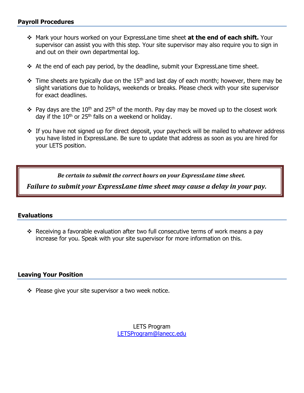- Mark your hours worked on your ExpressLane time sheet **at the end of each shift.** Your supervisor can assist you with this step. Your site supervisor may also require you to sign in and out on their own departmental log.
- $\div$  At the end of each pay period, by the deadline, submit your ExpressLane time sheet.
- $\cdot \cdot$  Time sheets are typically due on the 15<sup>th</sup> and last day of each month; however, there may be slight variations due to holidays, weekends or breaks. Please check with your site supervisor for exact deadlines.
- $\cdot \cdot$  Pay days are the 10<sup>th</sup> and 25<sup>th</sup> of the month. Pay day may be moved up to the closest work day if the  $10^{th}$  or 25<sup>th</sup> falls on a weekend or holiday.
- \* If you have not signed up for direct deposit, your paycheck will be mailed to whatever address you have listed in ExpressLane. Be sure to update that address as soon as you are hired for your LETS position.

*Be certain to submit the correct hours on your ExpressLane time sheet.* 

*Failure to submit your ExpressLane time sheet may cause a delay in your pay.* 

#### **Evaluations**

 Receiving a favorable evaluation after two full consecutive terms of work means a pay increase for you. Speak with your site supervisor for more information on this.

#### **Leaving Your Position**

 $\div$  Please give your site supervisor a two week notice.

LETS Program [LETSProgram@lanecc.edu](mailto:LETSProgram@lanecc.edu)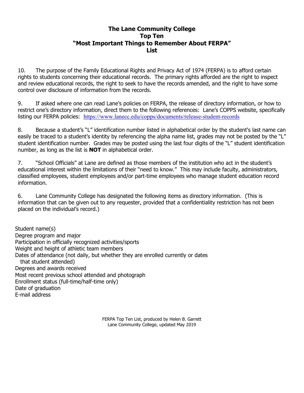#### **The Lane Community College Top Ten "Most Important Things to Remember About FERPA" List**

10. The purpose of the Family Educational Rights and Privacy Act of 1974 (FERPA) is to afford certain rights to students concerning their educational records. The primary rights afforded are the right to inspect and review educational records, the right to seek to have the records amended, and the right to have some control over disclosure of information from the records.

9. If asked where one can read Lane's policies on FERPA, the release of directory information, or how to restrict one's directory information, direct them to the following references: Lane's COPPS website, specifically listing our FERPA policies: <https://www.lanecc.edu/copps/documents/release-student-records>

8. Because a student's "L" identification number listed in alphabetical order by the student's last name can easily be traced to a student's identity by referencing the alpha name list, grades may not be posted by the "L" student identification number. Grades may be posted using the last four digits of the "L" student identification number, as long as the list is **NOT** in alphabetical order.

7. "School Officials" at Lane are defined as those members of the institution who act in the student's educational interest within the limitations of their "need to know." This may include faculty, administrators, classified employees, student employees and/or part-time employees who manage student education record information.

6. Lane Community College has designated the following items as directory information. (This is information that can be given out to any requester, provided that a confidentiality restriction has not been placed on the individual's record.)

Student name(s) Degree program and major Participation in officially recognized activities/sports Weight and height of athletic team members Dates of attendance (not daily, but whether they are enrolled currently or dates that student attended) Degrees and awards received Most recent previous school attended and photograph Enrollment status (full-time/half-time only) Date of graduation E-mail address

> FERPA Top Ten List, produced by Helen B. Garrett Lane Community College, updated May 2019